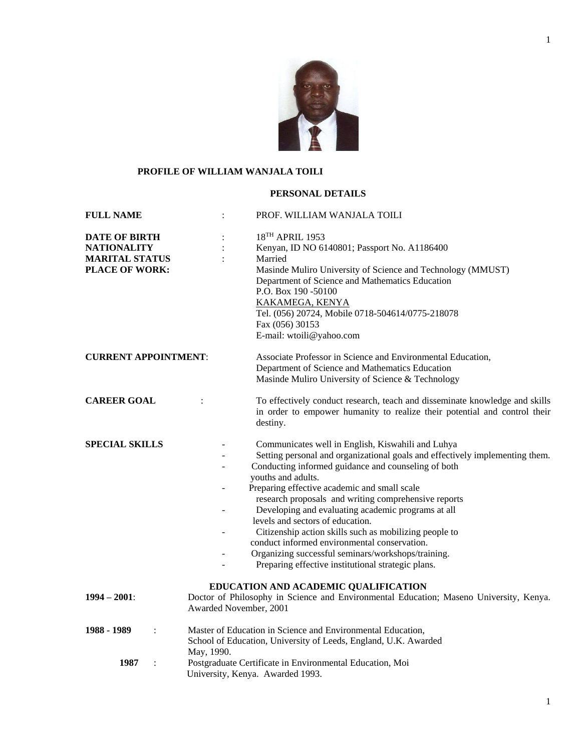

# **PROFILE OF WILLIAM WANJALA TOILI**

# **PERSONAL DETAILS**

| <b>FULL NAME</b>                                                                             | PROF. WILLIAM WANJALA TOILI                                                                                                                                                                                                                                                                                                                                                                                                                                                                                                                                                                                                            |
|----------------------------------------------------------------------------------------------|----------------------------------------------------------------------------------------------------------------------------------------------------------------------------------------------------------------------------------------------------------------------------------------------------------------------------------------------------------------------------------------------------------------------------------------------------------------------------------------------------------------------------------------------------------------------------------------------------------------------------------------|
| <b>DATE OF BIRTH</b><br><b>NATIONALITY</b><br><b>MARITAL STATUS</b><br><b>PLACE OF WORK:</b> | 18TH APRIL 1953<br>Kenyan, ID NO 6140801; Passport No. A1186400<br>Married<br>Masinde Muliro University of Science and Technology (MMUST)<br>Department of Science and Mathematics Education<br>P.O. Box 190 -50100<br><b>KAKAMEGA, KENYA</b><br>Tel. (056) 20724, Mobile 0718-504614/0775-218078<br>Fax (056) 30153<br>E-mail: wtoili@yahoo.com                                                                                                                                                                                                                                                                                       |
| <b>CURRENT APPOINTMENT:</b>                                                                  | Associate Professor in Science and Environmental Education,<br>Department of Science and Mathematics Education<br>Masinde Muliro University of Science & Technology                                                                                                                                                                                                                                                                                                                                                                                                                                                                    |
| <b>CAREER GOAL</b>                                                                           | To effectively conduct research, teach and disseminate knowledge and skills<br>$\ddot{\cdot}$<br>in order to empower humanity to realize their potential and control their<br>destiny.                                                                                                                                                                                                                                                                                                                                                                                                                                                 |
| <b>SPECIAL SKILLS</b>                                                                        | Communicates well in English, Kiswahili and Luhya<br>Setting personal and organizational goals and effectively implementing them.<br>Conducting informed guidance and counseling of both<br>youths and adults.<br>Preparing effective academic and small scale<br>research proposals and writing comprehensive reports<br>Developing and evaluating academic programs at all<br>levels and sectors of education.<br>Citizenship action skills such as mobilizing people to<br>conduct informed environmental conservation.<br>Organizing successful seminars/workshops/training.<br>Preparing effective institutional strategic plans. |
| $1994 - 2001$ :                                                                              | EDUCATION AND ACADEMIC QUALIFICATION<br>Doctor of Philosophy in Science and Environmental Education; Maseno University, Kenya.<br>Awarded November, 2001                                                                                                                                                                                                                                                                                                                                                                                                                                                                               |
| 1988 - 1989                                                                                  | Master of Education in Science and Environmental Education,<br>School of Education, University of Leeds, England, U.K. Awarded<br>May, 1990.                                                                                                                                                                                                                                                                                                                                                                                                                                                                                           |
| 1987                                                                                         | Postgraduate Certificate in Environmental Education, Moi<br>University, Kenya. Awarded 1993.                                                                                                                                                                                                                                                                                                                                                                                                                                                                                                                                           |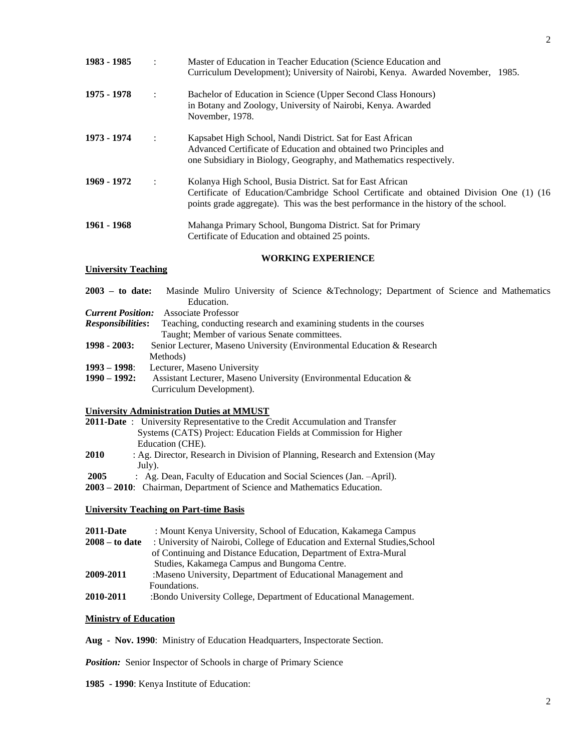| 1983 - 1985 |                      | Master of Education in Teacher Education (Science Education and<br>Curriculum Development); University of Nairobi, Kenya. Awarded November, 1985.                                                                                            |
|-------------|----------------------|----------------------------------------------------------------------------------------------------------------------------------------------------------------------------------------------------------------------------------------------|
| 1975 - 1978 | $\ddot{\phantom{a}}$ | Bachelor of Education in Science (Upper Second Class Honours)<br>in Botany and Zoology, University of Nairobi, Kenya. Awarded<br>November, 1978.                                                                                             |
| 1973 - 1974 | $\ddot{\cdot}$       | Kapsabet High School, Nandi District. Sat for East African<br>Advanced Certificate of Education and obtained two Principles and<br>one Subsidiary in Biology, Geography, and Mathematics respectively.                                       |
| 1969 - 1972 | $\ddot{\cdot}$       | Kolanya High School, Busia District. Sat for East African<br>Certificate of Education/Cambridge School Certificate and obtained Division One (1) (16<br>points grade aggregate). This was the best performance in the history of the school. |
| 1961 - 1968 |                      | Mahanga Primary School, Bungoma District. Sat for Primary<br>Certificate of Education and obtained 25 points.                                                                                                                                |

### **WORKING EXPERIENCE**

## **University Teaching**

| $2003 -$ to date:        | Masinde Muliro University of Science &Technology Department of Science and Mathematics |
|--------------------------|----------------------------------------------------------------------------------------|
|                          | Education.                                                                             |
| <b>Current Position:</b> | Associate Professor                                                                    |
| <i>Responsibilities:</i> | Teaching, conducting research and examining students in the courses                    |
|                          | Taught; Member of various Senate committees.                                           |
| $1998 - 2003$ :          | Senior Lecturer, Maseno University (Environmental Education & Research                 |
|                          | Methods)                                                                               |
| $1993 - 1998$ :          | Lecturer, Maseno University                                                            |
| $1990 - 1992$ :          | Assistant Lecturer, Maseno University (Environmental Education &                       |
|                          | Curriculum Development).                                                               |
|                          |                                                                                        |

## **University Administration Duties at MMUST**

|      | <b>2011-Date</b> : University Representative to the Credit Accumulation and Transfer |
|------|--------------------------------------------------------------------------------------|
|      | Systems (CATS) Project: Education Fields at Commission for Higher                    |
|      | Education (CHE).                                                                     |
| 2010 | : Ag. Director, Research in Division of Planning, Research and Extension (May        |
|      | July).                                                                               |
| 2005 | : Ag. Dean, Faculty of Education and Social Sciences (Jan. -April).                  |
|      | 2003 – 2010: Chairman, Department of Science and Mathematics Education.              |

# **University Teaching on Part-time Basis**

| <b>2011-Date</b> | : Mount Kenya University, School of Education, Kakamega Campus             |
|------------------|----------------------------------------------------------------------------|
| $2008 -$ to date | : University of Nairobi, College of Education and External Studies, School |
|                  | of Continuing and Distance Education, Department of Extra-Mural            |
|                  | Studies, Kakamega Campus and Bungoma Centre.                               |
| 2009-2011        | : Maseno University, Department of Educational Management and              |
|                  | Foundations.                                                               |
| 2010-2011        | :Bondo University College, Department of Educational Management.           |

# **Ministry of Education**

**Aug - Nov. 1990**: Ministry of Education Headquarters, Inspectorate Section.

*Position:* Senior Inspector of Schools in charge of Primary Science

**1985 - 1990**: Kenya Institute of Education: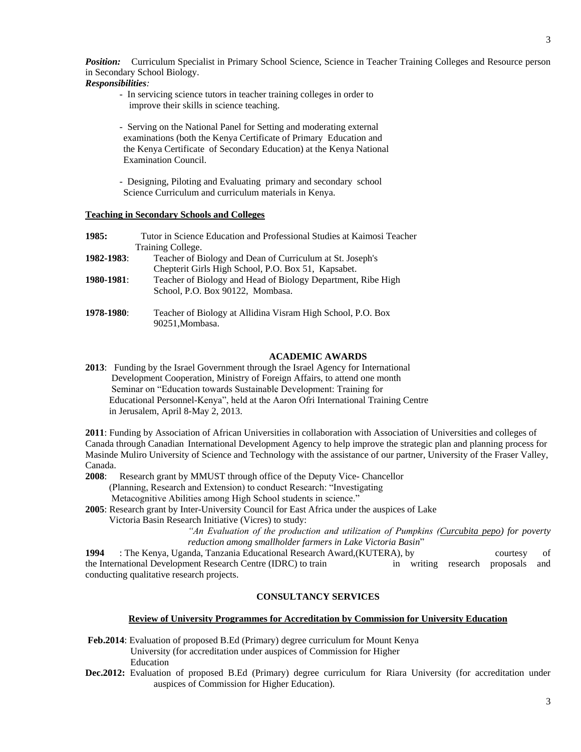*Position:* Curriculum Specialist in Primary School Science, Science in Teacher Training Colleges and Resource person in Secondary School Biology.

*Responsibilities:* 

- In servicing science tutors in teacher training colleges in order to improve their skills in science teaching.

- Serving on the National Panel for Setting and moderating external examinations (both the Kenya Certificate of Primary Education and the Kenya Certificate of Secondary Education) at the Kenya National Examination Council.

- Designing, Piloting and Evaluating primary and secondary school Science Curriculum and curriculum materials in Kenya.

# **Teaching in Secondary Schools and Colleges**

| 1985:      | Tutor in Science Education and Professional Studies at Kaimosi Teacher |
|------------|------------------------------------------------------------------------|
|            | Training College.                                                      |
| 1982-1983: | Teacher of Biology and Dean of Curriculum at St. Joseph's              |
|            | Chepterit Girls High School, P.O. Box 51, Kapsabet.                    |
| 1980-1981: | Teacher of Biology and Head of Biology Department, Ribe High           |
|            | School, P.O. Box 90122, Mombasa.                                       |
| 1978-1980: | Teacher of Biology at Allidina Visram High School, P.O. Box            |
|            | 90251, Mombasa.                                                        |

## **ACADEMIC AWARDS**

**2013**: Funding by the Israel Government through the Israel Agency for International Development Cooperation, Ministry of Foreign Affairs, to attend one month Seminar on "Education towards Sustainable Development: Training for Educational Personnel-Kenya", held at the Aaron Ofri International Training Centre in Jerusalem, April 8-May 2, 2013.

**2011**: Funding by Association of African Universities in collaboration with Association of Universities and colleges of Canada through Canadian International Development Agency to help improve the strategic plan and planning process for Masinde Muliro University of Science and Technology with the assistance of our partner, University of the Fraser Valley, Canada.

**2008**: Research grant by MMUST through office of the Deputy Vice- Chancellor (Planning, Research and Extension) to conduct Research: "Investigating Metacognitive Abilities among High School students in science."

**2005**: Research grant by Inter-University Council for East Africa under the auspices of Lake Victoria Basin Research Initiative (Vicres) to study:

> *"An Evaluation of the production and utilization of Pumpkins (Curcubita pepo) for poverty reduction among smallholder farmers in Lake Victoria Basin*"

**1994** : The Kenya, Uganda, Tanzania Educational Research Award, (KUTERA), by courtesy of the International Development Research Centre (IDRC) to train in writing research proposals and conducting qualitative research projects.

## **CONSULTANCY SERVICES**

## **Review of University Programmes for Accreditation by Commission for University Education**

- **Feb.2014**: Evaluation of proposed B.Ed (Primary) degree curriculum for Mount Kenya University (for accreditation under auspices of Commission for Higher Education
- **Dec.2012:** Evaluation of proposed B.Ed (Primary) degree curriculum for Riara University (for accreditation under auspices of Commission for Higher Education).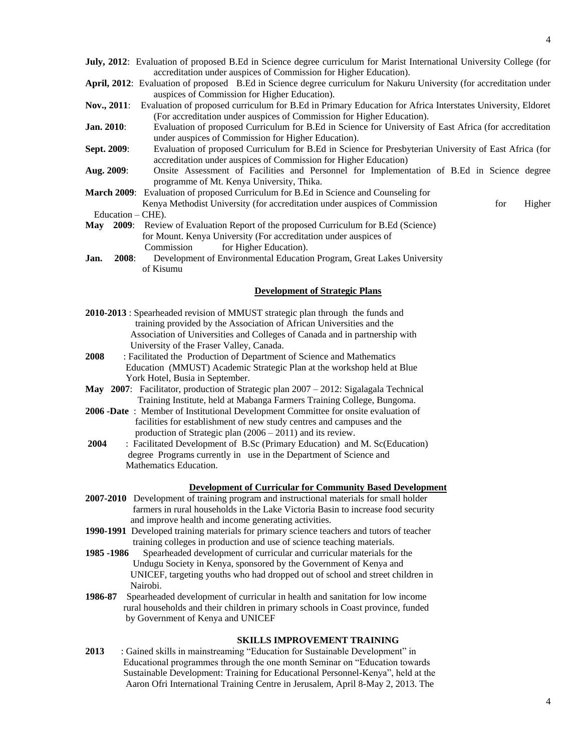- **July, 2012**: Evaluation of proposed B.Ed in Science degree curriculum for Marist International University College (for accreditation under auspices of Commission for Higher Education).
- **April, 2012**: Evaluation of proposed B.Ed in Science degree curriculum for Nakuru University (for accreditation under auspices of Commission for Higher Education).
- **Nov., 2011**: Evaluation of proposed curriculum for B.Ed in Primary Education for Africa Interstates University, Eldoret (For accreditation under auspices of Commission for Higher Education).
- **Jan. 2010**: Evaluation of proposed Curriculum for B.Ed in Science for University of East Africa (for accreditation under auspices of Commission for Higher Education).
- **Sept. 2009**: Evaluation of proposed Curriculum for B.Ed in Science for Presbyterian University of East Africa (for accreditation under auspices of Commission for Higher Education)
- **Aug. 2009**: Onsite Assessment of Facilities and Personnel for Implementation of B.Ed in Science degree programme of Mt. Kenya University, Thika.
- **March 2009**: Evaluation of proposed Curriculum for B.Ed in Science and Counseling for Kenya Methodist University (for accreditation under auspices of Commission for Higher Education – CHE).

- **May 2009**: Review of Evaluation Report of the proposed Curriculum for B.Ed (Science) for Mount. Kenya University (For accreditation under auspices of Commission for Higher Education).
- **Jan. 2008**: Development of Environmental Education Program, Great Lakes University of Kisumu

## **Development of Strategic Plans**

- **2010-2013** : Spearheaded revision of MMUST strategic plan through the funds and training provided by the Association of African Universities and the Association of Universities and Colleges of Canada and in partnership with University of the Fraser Valley, Canada.
- **2008** : Facilitated the Production of Department of Science and Mathematics Education (MMUST) Academic Strategic Plan at the workshop held at Blue York Hotel, Busia in September.
- **May 2007**: Facilitator, production of Strategic plan 2007 2012: Sigalagala Technical Training Institute, held at Mabanga Farmers Training College, Bungoma.
- **2006 -Date** : Member of Institutional Development Committee for onsite evaluation of facilities for establishment of new study centres and campuses and the production of Strategic plan (2006 – 2011) and its review.
- **2004** : Facilitated Development of B.Sc (Primary Education) and M. Sc(Education) degree Programs currently in use in the Department of Science and Mathematics Education.

#### **Development of Curricular for Community Based Development**

- **2007-2010** Development of training program and instructional materials for small holder farmers in rural households in the Lake Victoria Basin to increase food security and improve health and income generating activities.
- **1990-1991** Developed training materials for primary science teachers and tutors of teacher training colleges in production and use of science teaching materials.
- **1985 -1986** Spearheaded development of curricular and curricular materials for the Undugu Society in Kenya, sponsored by the Government of Kenya and UNICEF, targeting youths who had dropped out of school and street children in Nairobi.
- **1986-87** Spearheaded development of curricular in health and sanitation for low income rural households and their children in primary schools in Coast province, funded by Government of Kenya and UNICEF

#### **SKILLS IMPROVEMENT TRAINING**

**2013** : Gained skills in mainstreaming "Education for Sustainable Development" in Educational programmes through the one month Seminar on "Education towards Sustainable Development: Training for Educational Personnel-Kenya", held at the Aaron Ofri International Training Centre in Jerusalem, April 8-May 2, 2013. The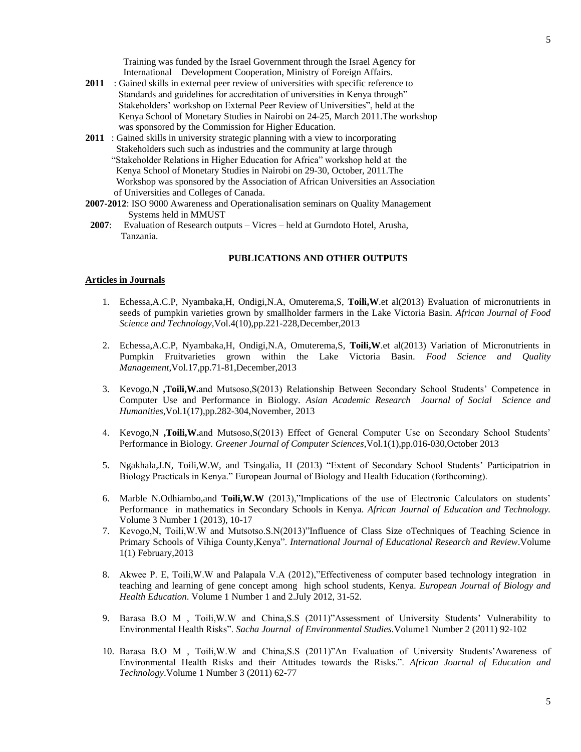5

 Training was funded by the Israel Government through the Israel Agency for International Development Cooperation, Ministry of Foreign Affairs.

- 2011 : Gained skills in external peer review of universities with specific reference to Standards and guidelines for accreditation of universities in Kenya through" Stakeholders' workshop on External Peer Review of Universities", held at the Kenya School of Monetary Studies in Nairobi on 24-25, March 2011.The workshop was sponsored by the Commission for Higher Education.
- **2011** : Gained skills in university strategic planning with a view to incorporating Stakeholders such such as industries and the community at large through "Stakeholder Relations in Higher Education for Africa" workshop held at the Kenya School of Monetary Studies in Nairobi on 29-30, October, 2011.The Workshop was sponsored by the Association of African Universities an Association of Universities and Colleges of Canada.
- **2007-2012**: ISO 9000 Awareness and Operationalisation seminars on Quality Management Systems held in MMUST
- **2007**: Evaluation of Research outputs Vicres held at Gurndoto Hotel, Arusha, Tanzania.

## **PUBLICATIONS AND OTHER OUTPUTS**

#### **Articles in Journals**

- 1. Echessa,A.C.P, Nyambaka,H, Ondigi,N.A, Omuterema,S, **Toili,W**.et al(2013) Evaluation of micronutrients in seeds of pumpkin varieties grown by smallholder farmers in the Lake Victoria Basin. *African Journal of Food Science and Technology,*Vol.4(10),pp.221-228,December,2013
- 2. Echessa,A.C.P, Nyambaka,H, Ondigi,N.A, Omuterema,S, **Toili,W**.et al(2013) Variation of Micronutrients in Pumpkin Fruitvarieties grown within the Lake Victoria Basin. *Food Science and Quality Management,*Vol.17,pp.71-81,December,2013
- 3. Kevogo,N **,Toili,W.**and Mutsoso,S(2013) Relationship Between Secondary School Students' Competence in Computer Use and Performance in Biology*. Asian Academic Research Journal of Social Science and Humanities,*Vol.1(17),pp.282-304,November, 2013
- 4. Kevogo,N **,Toili,W.**and Mutsoso,S(2013) Effect of General Computer Use on Secondary School Students' Performance in Biology*. Greener Journal of Computer Sciences,*Vol.1(1),pp.016-030,October 2013
- 5. Ngakhala,J.N, Toili,W.W, and Tsingalia, H (2013) "Extent of Secondary School Students' Participatrion in Biology Practicals in Kenya." European Journal of Biology and Health Education (forthcoming).
- 6. Marble N.Odhiambo,and **Toili,W.W** (2013),"Implications of the use of Electronic Calculators on students' Performance in mathematics in Secondary Schools in Kenya. *African Journal of Education and Technology.*  Volume 3 Number 1 (2013), 10-17
- 7. Kevogo,N, Toili,W.W and Mutsotso.S.N(2013)"Influence of Class Size oTechniques of Teaching Science in Primary Schools of Vihiga County,Kenya". *International Journal of Educational Research and Review*.Volume 1(1) February,2013
- 8. Akwee P. E, Toili,W.W and Palapala V.A (2012),"Effectiveness of computer based technology integration in teaching and learning of gene concept among high school students, Kenya. *European Journal of Biology and Health Education*. Volume 1 Number 1 and 2.July 2012, 31-52.
- 9. Barasa B.O M , Toili,W.W and China,S.S (2011)"Assessment of University Students' Vulnerability to Environmental Health Risks". *Sacha Journal of Environmental Studies.*Volume1 Number 2 (2011) 92-102
- 10. Barasa B.O M , Toili,W.W and China,S.S (2011)"An Evaluation of University Students'Awareness of Environmental Health Risks and their Attitudes towards the Risks.". *African Journal of Education and Technology*.Volume 1 Number 3 (2011) 62-77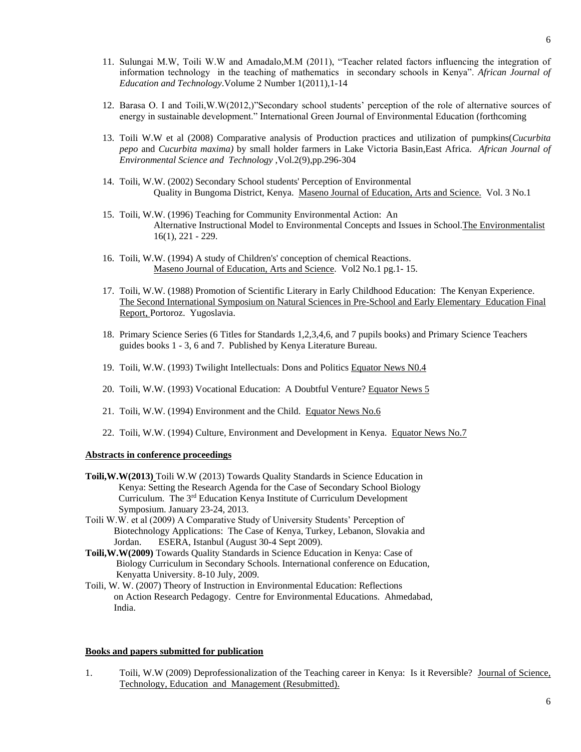- 11. Sulungai M.W, Toili W.W and Amadalo,M.M (2011), "Teacher related factors influencing the integration of information technology in the teaching of mathematics in secondary schools in Kenya". *African Journal of Education and Technology*.Volume 2 Number 1(2011),1-14
- 12. Barasa O. I and Toili,W.W(2012,)"Secondary school students' perception of the role of alternative sources of energy in sustainable development." International Green Journal of Environmental Education (forthcoming
- 13. Toili W.W et al (2008) Comparative analysis of Production practices and utilization of pumpkins(*Cucurbita pepo* and *Cucurbita maxima)* by small holder farmers in Lake Victoria Basin,East Africa. *African Journal of Environmental Science and Technology* ,Vol.2(9),pp.296-304
- 14. Toili, W.W. (2002) Secondary School students' Perception of Environmental Quality in Bungoma District, Kenya. Maseno Journal of Education, Arts and Science. Vol. 3 No.1
- 15. Toili, W.W. (1996) Teaching for Community Environmental Action: An Alternative Instructional Model to Environmental Concepts and Issues in School.The Environmentalist 16(1), 221 - 229.
- 16. Toili, W.W. (1994) A study of Children's' conception of chemical Reactions. Maseno Journal of Education, Arts and Science. Vol2 No.1 pg.1- 15.
- 17. Toili, W.W. (1988) Promotion of Scientific Literary in Early Childhood Education: The Kenyan Experience. The Second International Symposium on Natural Sciences in Pre-School and Early Elementary Education Final Report, Portoroz. Yugoslavia.
- 18. Primary Science Series (6 Titles for Standards 1,2,3,4,6, and 7 pupils books) and Primary Science Teachers guides books 1 - 3, 6 and 7. Published by Kenya Literature Bureau.
- 19. Toili, W.W. (1993) Twilight Intellectuals: Dons and Politics Equator News N0.4
- 20. Toili, W.W. (1993) Vocational Education: A Doubtful Venture? Equator News 5
- 21. Toili, W.W. (1994) Environment and the Child. Equator News No.6
- 22. Toili, W.W. (1994) Culture, Environment and Development in Kenya. Equator News No.7

## **Abstracts in conference proceedings**

- **Toili,W.W(2013)** Toili W.W (2013) Towards Quality Standards in Science Education in Kenya: Setting the Research Agenda for the Case of Secondary School Biology Curriculum. The 3rd Education Kenya Institute of Curriculum Development Symposium. January 23-24, 2013.
- Toili W.W. et al (2009) A Comparative Study of University Students' Perception of Biotechnology Applications: The Case of Kenya, Turkey, Lebanon, Slovakia and Jordan. ESERA, Istanbul (August 30-4 Sept 2009).
- **Toili,W.W(2009)** Towards Quality Standards in Science Education in Kenya: Case of Biology Curriculum in Secondary Schools. International conference on Education, Kenyatta University. 8-10 July, 2009.
- Toili, W. W. (2007) Theory of Instruction in Environmental Education: Reflections on Action Research Pedagogy. Centre for Environmental Educations. Ahmedabad, India.

#### **Books and papers submitted for publication**

1. Toili, W.W (2009) Deprofessionalization of the Teaching career in Kenya: Is it Reversible? Journal of Science, Technology, Education and Management (Resubmitted).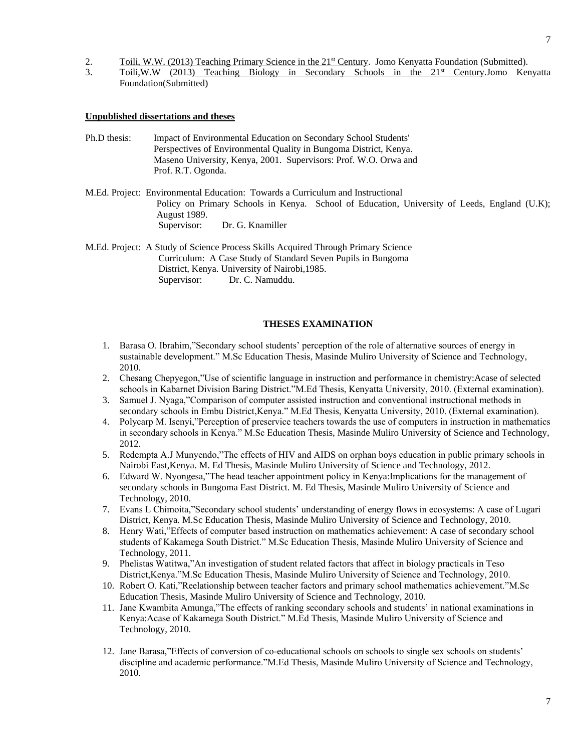- 2. Toili, W.W. (2013) Teaching Primary Science in the 21<sup>st</sup> Century. Jomo Kenyatta Foundation (Submitted).
- 3. Toili,W.W (2013) Teaching Biology in Secondary Schools in the 21st Century.Jomo Kenyatta Foundation(Submitted)

#### **Unpublished dissertations and theses**

- Ph.D thesis: Impact of Environmental Education on Secondary School Students' Perspectives of Environmental Quality in Bungoma District, Kenya. Maseno University, Kenya, 2001. Supervisors: Prof. W.O. Orwa and Prof. R.T. Ogonda.
- M.Ed. Project: Environmental Education: Towards a Curriculum and Instructional Policy on Primary Schools in Kenya. School of Education, University of Leeds, England (U.K); August 1989. Supervisor: Dr. G. Knamiller
- M.Ed. Project: A Study of Science Process Skills Acquired Through Primary Science Curriculum: A Case Study of Standard Seven Pupils in Bungoma District, Kenya. University of Nairobi,1985. Supervisor: Dr. C. Namuddu.

## **THESES EXAMINATION**

- 1. Barasa O. Ibrahim,"Secondary school students' perception of the role of alternative sources of energy in sustainable development." M.Sc Education Thesis, Masinde Muliro University of Science and Technology, 2010.
- 2. Chesang Chepyegon,"Use of scientific language in instruction and performance in chemistry:Acase of selected schools in Kabarnet Division Baring District."M.Ed Thesis, Kenyatta University, 2010. (External examination).
- 3. Samuel J. Nyaga,"Comparison of computer assisted instruction and conventional instructional methods in secondary schools in Embu District, Kenya." M.Ed Thesis, Kenyatta University, 2010. (External examination).
- 4. Polycarp M. Isenyi,"Perception of preservice teachers towards the use of computers in instruction in mathematics in secondary schools in Kenya." M.Sc Education Thesis, Masinde Muliro University of Science and Technology, 2012.
- 5. Redempta A.J Munyendo,"The effects of HIV and AIDS on orphan boys education in public primary schools in Nairobi East,Kenya. M. Ed Thesis, Masinde Muliro University of Science and Technology, 2012.
- 6. Edward W. Nyongesa,"The head teacher appointment policy in Kenya:Implications for the management of secondary schools in Bungoma East District. M. Ed Thesis, Masinde Muliro University of Science and Technology, 2010.
- 7. Evans L Chimoita,"Secondary school students' understanding of energy flows in ecosystems: A case of Lugari District, Kenya. M.Sc Education Thesis, Masinde Muliro University of Science and Technology, 2010.
- 8. Henry Wati,"Effects of computer based instruction on mathematics achievement: A case of secondary school students of Kakamega South District." M.Sc Education Thesis, Masinde Muliro University of Science and Technology, 2011.
- 9. Phelistas Watitwa,"An investigation of student related factors that affect in biology practicals in Teso District,Kenya."M.Sc Education Thesis, Masinde Muliro University of Science and Technology, 2010.
- 10. Robert O. Kati,"Reelationship between teacher factors and primary school mathematics achievement."M.Sc Education Thesis, Masinde Muliro University of Science and Technology, 2010.
- 11. Jane Kwambita Amunga,"The effects of ranking secondary schools and students' in national examinations in Kenya:Acase of Kakamega South District." M.Ed Thesis, Masinde Muliro University of Science and Technology, 2010.
- 12. Jane Barasa,"Effects of conversion of co-educational schools on schools to single sex schools on students' discipline and academic performance."M.Ed Thesis, Masinde Muliro University of Science and Technology, 2010.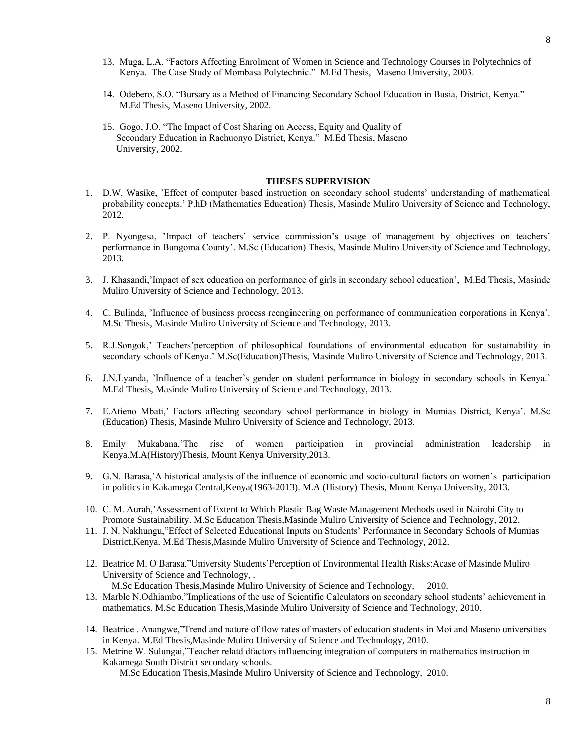- 13. Muga, L.A. "Factors Affecting Enrolment of Women in Science and Technology Courses in Polytechnics of Kenya. The Case Study of Mombasa Polytechnic." M.Ed Thesis, Maseno University, 2003.
- 14. Odebero, S.O. "Bursary as a Method of Financing Secondary School Education in Busia, District, Kenya." M.Ed Thesis, Maseno University, 2002.
- 15. Gogo, J.O. "The Impact of Cost Sharing on Access, Equity and Quality of Secondary Education in Rachuonyo District, Kenya." M.Ed Thesis, Maseno University, 2002.

### **THESES SUPERVISION**

- 1. D.W. Wasike, 'Effect of computer based instruction on secondary school students' understanding of mathematical probability concepts.' P.hD (Mathematics Education) Thesis, Masinde Muliro University of Science and Technology, 2012.
- 2. P. Nyongesa, 'Impact of teachers' service commission's usage of management by objectives on teachers' performance in Bungoma County'. M.Sc (Education) Thesis, Masinde Muliro University of Science and Technology, 2013.
- 3. J. Khasandi,'Impact of sex education on performance of girls in secondary school education', M.Ed Thesis, Masinde Muliro University of Science and Technology, 2013.
- 4. C. Bulinda, 'Influence of business process reengineering on performance of communication corporations in Kenya'. M.Sc Thesis, Masinde Muliro University of Science and Technology, 2013.
- 5. R.J.Songok,' Teachers'perception of philosophical foundations of environmental education for sustainability in secondary schools of Kenya.' M.Sc(Education)Thesis, Masinde Muliro University of Science and Technology, 2013.
- 6. J.N.Lyanda, 'Influence of a teacher's gender on student performance in biology in secondary schools in Kenya.' M.Ed Thesis, Masinde Muliro University of Science and Technology, 2013.
- 7. E.Atieno Mbati,' Factors affecting secondary school performance in biology in Mumias District, Kenya'. M.Sc (Education) Thesis, Masinde Muliro University of Science and Technology, 2013.
- 8. Emily Mukabana,'The rise of women participation in provincial administration leadership in Kenya.M.A(History)Thesis, Mount Kenya University,2013.
- 9. G.N. Barasa,'A historical analysis of the influence of economic and socio-cultural factors on women's participation in politics in Kakamega Central,Kenya(1963-2013). M.A (History) Thesis, Mount Kenya University, 2013.
- 10. C. M. Aurah,'Assessment of Extent to Which Plastic Bag Waste Management Methods used in Nairobi City to Promote Sustainability. M.Sc Education Thesis,Masinde Muliro University of Science and Technology, 2012.
- 11. J. N. Nakhungu,"Effect of Selected Educational Inputs on Students' Performance in Secondary Schools of Mumias District,Kenya. M.Ed Thesis,Masinde Muliro University of Science and Technology, 2012.
- 12. Beatrice M. O Barasa,"University Students'Perception of Environmental Health Risks:Acase of Masinde Muliro University of Science and Technology, . M.Sc Education Thesis,Masinde Muliro University of Science and Technology, 2010.
- 13. Marble N.Odhiambo,"Implications of the use of Scientific Calculators on secondary school students' achievement in mathematics. M.Sc Education Thesis,Masinde Muliro University of Science and Technology, 2010.
- 14. Beatrice . Anangwe,"Trend and nature of flow rates of masters of education students in Moi and Maseno universities in Kenya. M.Ed Thesis,Masinde Muliro University of Science and Technology, 2010.
- 15. Metrine W. Sulungai,"Teacher relatd dfactors influencing integration of computers in mathematics instruction in Kakamega South District secondary schools.

M.Sc Education Thesis,Masinde Muliro University of Science and Technology, 2010.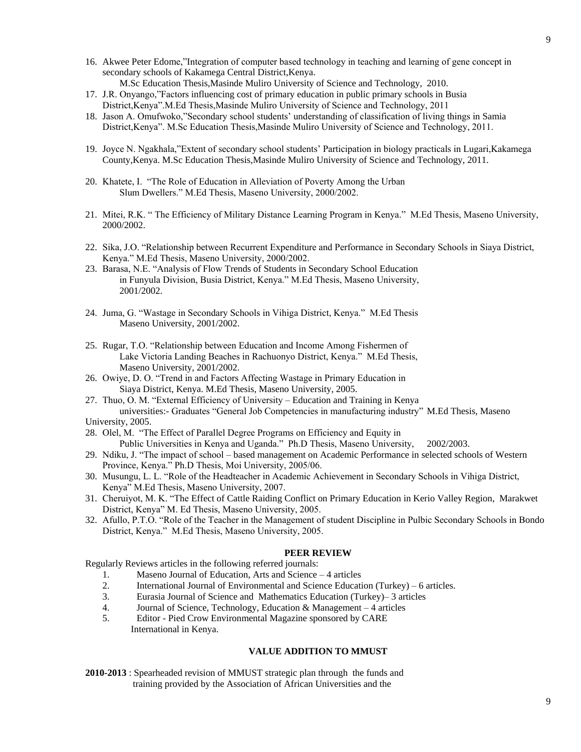- 16. Akwee Peter Edome,"Integration of computer based technology in teaching and learning of gene concept in secondary schools of Kakamega Central District,Kenya.
	- M.Sc Education Thesis,Masinde Muliro University of Science and Technology, 2010.
- 17. J.R. Onyango,"Factors influencing cost of primary education in public primary schools in Busia District,Kenya".M.Ed Thesis,Masinde Muliro University of Science and Technology, 2011
- 18. Jason A. Omufwoko,"Secondary school students' understanding of classification of living things in Samia District,Kenya". M.Sc Education Thesis,Masinde Muliro University of Science and Technology, 2011.
- 19. Joyce N. Ngakhala,"Extent of secondary school students' Participation in biology practicals in Lugari,Kakamega County,Kenya. M.Sc Education Thesis,Masinde Muliro University of Science and Technology, 2011.
- 20. Khatete, I. "The Role of Education in Alleviation of Poverty Among the Urban Slum Dwellers." M.Ed Thesis, Maseno University, 2000/2002.
- 21. Mitei, R.K. " The Efficiency of Military Distance Learning Program in Kenya." M.Ed Thesis, Maseno University, 2000/2002.
- 22. Sika, J.O. "Relationship between Recurrent Expenditure and Performance in Secondary Schools in Siaya District, Kenya." M.Ed Thesis, Maseno University, 2000/2002.
- 23. Barasa, N.E. "Analysis of Flow Trends of Students in Secondary School Education in Funyula Division, Busia District, Kenya." M.Ed Thesis, Maseno University, 2001/2002.
- 24. Juma, G. "Wastage in Secondary Schools in Vihiga District, Kenya." M.Ed Thesis Maseno University, 2001/2002.
- 25. Rugar, T.O. "Relationship between Education and Income Among Fishermen of Lake Victoria Landing Beaches in Rachuonyo District, Kenya." M.Ed Thesis, Maseno University, 2001/2002.
- 26. Owiye, D. O. "Trend in and Factors Affecting Wastage in Primary Education in Siaya District, Kenya. M.Ed Thesis, Maseno University, 2005.
- 27. Thuo, O. M. "External Efficiency of University Education and Training in Kenya universities:- Graduates "General Job Competencies in manufacturing industry" M.Ed Thesis, Maseno

University, 2005.

- 28. Olel, M. "The Effect of Parallel Degree Programs on Efficiency and Equity in Public Universities in Kenya and Uganda." Ph.D Thesis, Maseno University, 2002/2003.
- 29. Ndiku, J. "The impact of school based management on Academic Performance in selected schools of Western Province, Kenya." Ph.D Thesis, Moi University, 2005/06.
- 30. Musungu, L. L. "Role of the Headteacher in Academic Achievement in Secondary Schools in Vihiga District, Kenya" M.Ed Thesis, Maseno University, 2007.
- 31. Cheruiyot, M. K. "The Effect of Cattle Raiding Conflict on Primary Education in Kerio Valley Region, Marakwet District, Kenya" M. Ed Thesis, Maseno University, 2005.
- 32. Afullo, P.T.O. "Role of the Teacher in the Management of student Discipline in Pulbic Secondary Schools in Bondo District, Kenya." M.Ed Thesis, Maseno University, 2005.

## **PEER REVIEW**

Regularly Reviews articles in the following referred journals:

- 1. Maseno Journal of Education, Arts and Science 4 articles
- 2. International Journal of Environmental and Science Education (Turkey) 6 articles.
- 3. Eurasia Journal of Science and Mathematics Education (Turkey)– 3 articles
- 4. Journal of Science, Technology, Education & Management 4 articles
- 5. Editor Pied Crow Environmental Magazine sponsored by CARE International in Kenya.

#### **VALUE ADDITION TO MMUST**

**2010-2013** : Spearheaded revision of MMUST strategic plan through the funds and training provided by the Association of African Universities and the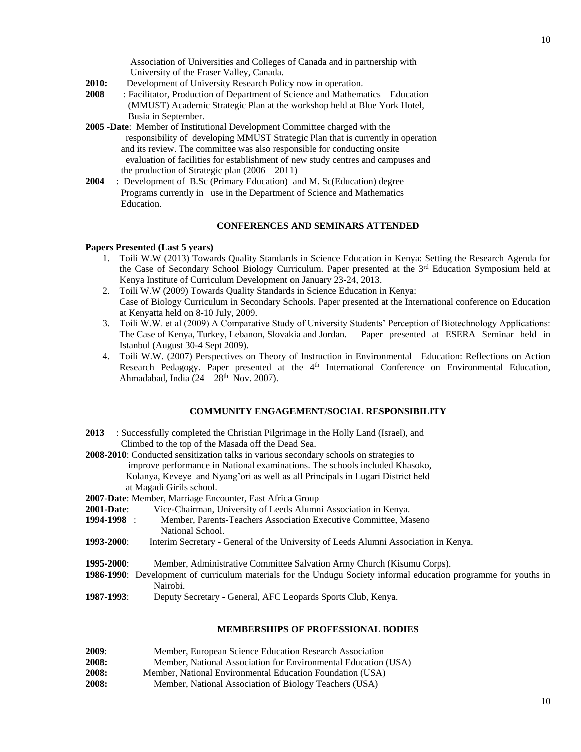Association of Universities and Colleges of Canada and in partnership with University of the Fraser Valley, Canada.

- **2010:** Development of University Research Policy now in operation.
- **2008** : Facilitator, Production of Department of Science and Mathematics Education (MMUST) Academic Strategic Plan at the workshop held at Blue York Hotel, Busia in September.
- **2005 -Date**: Member of Institutional Development Committee charged with the responsibility of developing MMUST Strategic Plan that is currently in operation and its review. The committee was also responsible for conducting onsite evaluation of facilities for establishment of new study centres and campuses and the production of Strategic plan (2006 – 2011)
- **2004** : Development of B.Sc (Primary Education) and M. Sc(Education) degree Programs currently in use in the Department of Science and Mathematics Education.

## **CONFERENCES AND SEMINARS ATTENDED**

### **Papers Presented (Last 5 years)**

- 1. Toili W.W (2013) Towards Quality Standards in Science Education in Kenya: Setting the Research Agenda for the Case of Secondary School Biology Curriculum. Paper presented at the 3<sup>rd</sup> Education Symposium held at Kenya Institute of Curriculum Development on January 23-24, 2013.
- 2. Toili W.W (2009) Towards Quality Standards in Science Education in Kenya: Case of Biology Curriculum in Secondary Schools. Paper presented at the International conference on Education at Kenyatta held on 8-10 July, 2009.
- 3. Toili W.W. et al (2009) A Comparative Study of University Students' Perception of Biotechnology Applications: The Case of Kenya, Turkey, Lebanon, Slovakia and Jordan. Paper presented at ESERA Seminar held in Istanbul (August 30-4 Sept 2009).
- 4. Toili W.W. (2007) Perspectives on Theory of Instruction in Environmental Education: Reflections on Action Research Pedagogy. Paper presented at the 4<sup>th</sup> International Conference on Environmental Education, Ahmadabad, India  $(24 - 28<sup>th</sup>$  Nov. 2007).

### **COMMUNITY ENGAGEMENT/SOCIAL RESPONSIBILITY**

- **2013** : Successfully completed the Christian Pilgrimage in the Holly Land (Israel), and Climbed to the top of the Masada off the Dead Sea.
- **2008-2010**: Conducted sensitization talks in various secondary schools on strategies to improve performance in National examinations. The schools included Khasoko, Kolanya, Keveye and Nyang'ori as well as all Principals in Lugari District held at Magadi Girils school.

**2007**-**Date**: Member, Marriage Encounter, East Africa Group

- **2001-Date**: Vice-Chairman, University of Leeds Alumni Association in Kenya.
- **1994-1998** : Member, Parents-Teachers Association Executive Committee, Maseno National School.
- **1993-2000**: Interim Secretary General of the University of Leeds Alumni Association in Kenya.
- **1995-2000**: Member, Administrative Committee Salvation Army Church (Kisumu Corps).
- **1986**-**1990**: Development of curriculum materials for the Undugu Society informal education programme for youths in Nairobi.
- **1987-1993**: Deputy Secretary General, AFC Leopards Sports Club, Kenya.

#### **MEMBERSHIPS OF PROFESSIONAL BODIES**

| 2009: | Member, European Science Education Research Association        |
|-------|----------------------------------------------------------------|
| 2008: | Member, National Association for Environmental Education (USA) |
| 2008: | Member, National Environmental Education Foundation (USA)      |
| 2008: | Member, National Association of Biology Teachers (USA)         |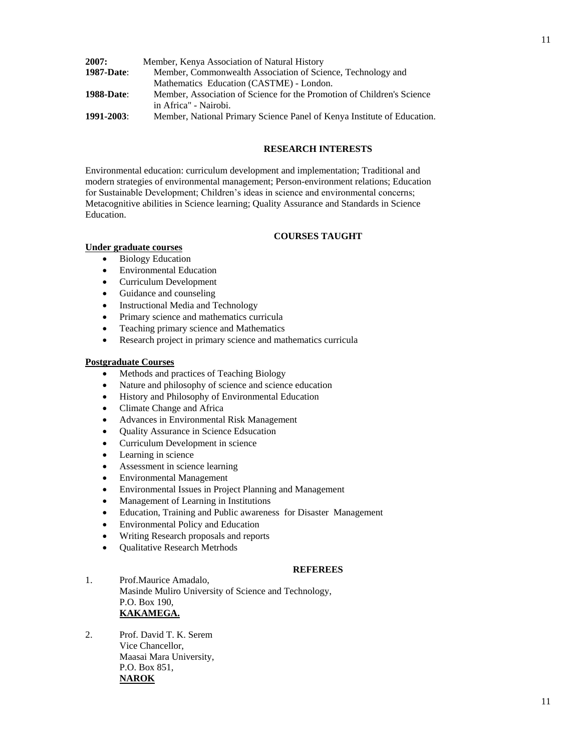| 2007:             | Member, Kenya Association of Natural History                            |
|-------------------|-------------------------------------------------------------------------|
| <b>1987-Date:</b> | Member, Commonwealth Association of Science, Technology and             |
|                   | Mathematics Education (CASTME) - London.                                |
| <b>1988-Date:</b> | Member, Association of Science for the Promotion of Children's Science  |
|                   | in Africa" - Nairobi.                                                   |
| $1991 - 2003$     | Member, National Primary Science Panel of Kenya Institute of Education. |

## **RESEARCH INTERESTS**

Environmental education: curriculum development and implementation; Traditional and modern strategies of environmental management; Person-environment relations; Education for Sustainable Development; Children's ideas in science and environmental concerns; Metacognitive abilities in Science learning; Quality Assurance and Standards in Science Education.

## **COURSES TAUGHT**

### **Under graduate courses**

- Biology Education
- Environmental Education
- Curriculum Development
- Guidance and counseling
- Instructional Media and Technology
- Primary science and mathematics curricula
- Teaching primary science and Mathematics
- Research project in primary science and mathematics curricula

## **Postgraduate Courses**

- Methods and practices of Teaching Biology
- Nature and philosophy of science and science education
- History and Philosophy of Environmental Education
- Climate Change and Africa
- Advances in Environmental Risk Management
- Ouality Assurance in Science Edsucation
- Curriculum Development in science
- Learning in science
- Assessment in science learning
- Environmental Management
- Environmental Issues in Project Planning and Management
- Management of Learning in Institutions
- Education, Training and Public awareness for Disaster Management
- Environmental Policy and Education
- Writing Research proposals and reports
- Qualitative Research Metrhods

## **REFEREES**

1. Prof.Maurice Amadalo, Masinde Muliro University of Science and Technology, P.O. Box 190, **KAKAMEGA.**

2. Prof. David T. K. Serem Vice Chancellor, Maasai Mara University, P.O. Box 851, **NAROK**